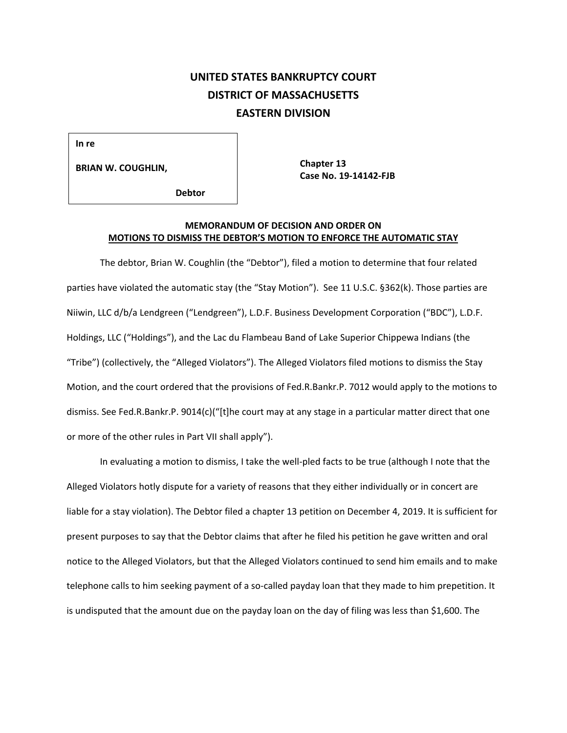## **UNITED STATES BANKRUPTCY COURT DISTRICT OF MASSACHUSETTS EASTERN DIVISION**

**In re**

**BRIAN W. COUGHLIN,**

**Chapter 13 Case No. 19-14142-FJB**

 **Debtor**

## **MEMORANDUM OF DECISION AND ORDER ON MOTIONS TO DISMISS THE DEBTOR'S MOTION TO ENFORCE THE AUTOMATIC STAY**

The debtor, Brian W. Coughlin (the "Debtor"), filed a motion to determine that four related parties have violated the automatic stay (the "Stay Motion"). See 11 U.S.C. §362(k). Those parties are Niiwin, LLC d/b/a Lendgreen ("Lendgreen"), L.D.F. Business Development Corporation ("BDC"), L.D.F. Holdings, LLC ("Holdings"), and the Lac du Flambeau Band of Lake Superior Chippewa Indians (the "Tribe") (collectively, the "Alleged Violators"). The Alleged Violators filed motions to dismiss the Stay Motion, and the court ordered that the provisions of Fed.R.Bankr.P. 7012 would apply to the motions to dismiss. See Fed.R.Bankr.P. 9014(c)("[t]he court may at any stage in a particular matter direct that one or more of the other rules in Part VII shall apply").

In evaluating a motion to dismiss, I take the well-pled facts to be true (although I note that the Alleged Violators hotly dispute for a variety of reasons that they either individually or in concert are liable for a stay violation). The Debtor filed a chapter 13 petition on December 4, 2019. It is sufficient for present purposes to say that the Debtor claims that after he filed his petition he gave written and oral notice to the Alleged Violators, but that the Alleged Violators continued to send him emails and to make telephone calls to him seeking payment of a so-called payday loan that they made to him prepetition. It is undisputed that the amount due on the payday loan on the day of filing was less than \$1,600. The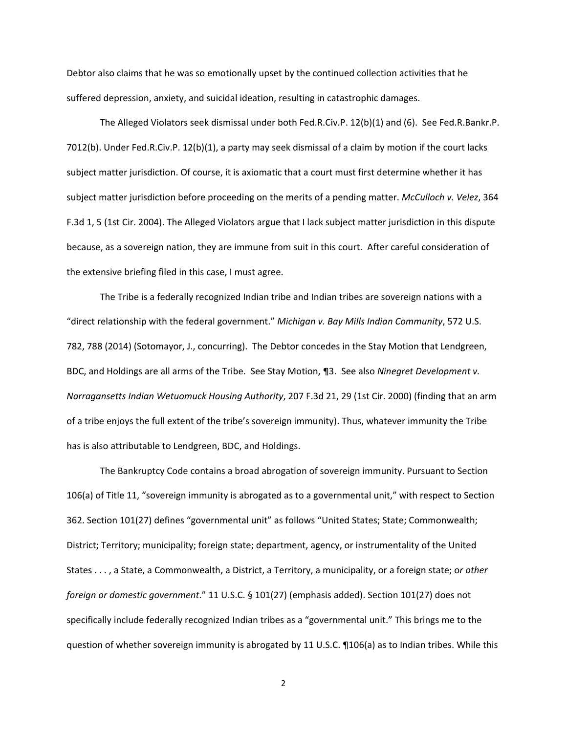Debtor also claims that he was so emotionally upset by the continued collection activities that he suffered depression, anxiety, and suicidal ideation, resulting in catastrophic damages.

The Alleged Violators seek dismissal under both Fed.R.Civ.P. 12(b)(1) and (6). See Fed.R.Bankr.P. 7012(b). Under Fed.R.Civ.P. 12(b)(1), a party may seek dismissal of a claim by motion if the court lacks subject matter jurisdiction. Of course, it is axiomatic that a court must first determine whether it has subject matter jurisdiction before proceeding on the merits of a pending matter. *McCulloch v. Velez*, 364 F.3d 1, 5 (1st Cir. 2004). The Alleged Violators argue that I lack subject matter jurisdiction in this dispute because, as a sovereign nation, they are immune from suit in this court. After careful consideration of the extensive briefing filed in this case, I must agree.

The Tribe is a federally recognized Indian tribe and Indian tribes are sovereign nations with a "direct relationship with the federal government." *Michigan v. Bay Mills Indian Community*, 572 U.S. 782, 788 (2014) (Sotomayor, J., concurring). The Debtor concedes in the Stay Motion that Lendgreen, BDC, and Holdings are all arms of the Tribe. See Stay Motion, ¶3. See also *Ninegret Development v. Narragansetts Indian Wetuomuck Housing Authority*, 207 F.3d 21, 29 (1st Cir. 2000) (finding that an arm of a tribe enjoys the full extent of the tribe's sovereign immunity). Thus, whatever immunity the Tribe has is also attributable to Lendgreen, BDC, and Holdings.

The Bankruptcy Code contains a broad abrogation of sovereign immunity. Pursuant to Section 106(a) of Title 11, "sovereign immunity is abrogated as to a governmental unit," with respect to Section 362. Section 101(27) defines "governmental unit" as follows "United States; State; Commonwealth; District; Territory; municipality; foreign state; department, agency, or instrumentality of the United States . . . , a State, a Commonwealth, a District, a Territory, a municipality, or a foreign state; o*r other foreign or domestic government*." 11 U.S.C. § 101(27) (emphasis added). Section 101(27) does not specifically include federally recognized Indian tribes as a "governmental unit." This brings me to the question of whether sovereign immunity is abrogated by 11 U.S.C. ¶106(a) as to Indian tribes. While this

2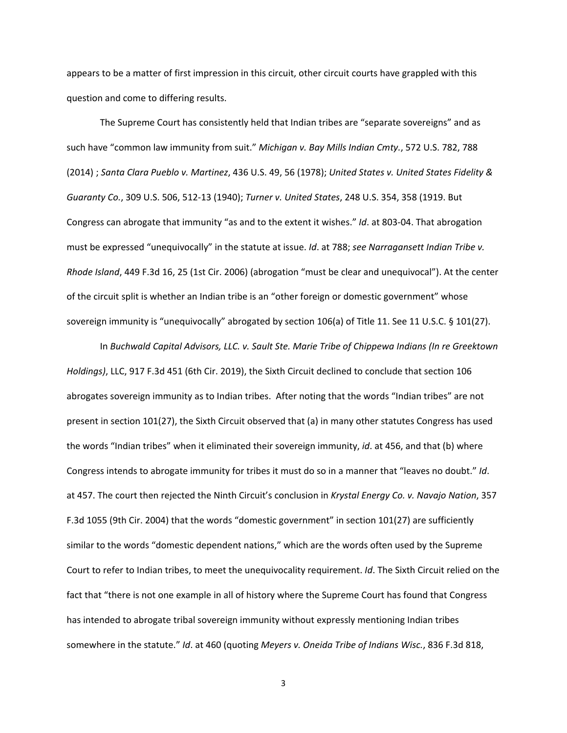appears to be a matter of first impression in this circuit, other circuit courts have grappled with this question and come to differing results.

The Supreme Court has consistently held that Indian tribes are "separate sovereigns" and as such have "common law immunity from suit." *Michigan v. Bay Mills Indian Cmty.*, 572 U.S. 782, 788 (2014) ; *Santa Clara Pueblo v. Martinez*, 436 U.S. 49, 56 (1978); *United States v. United States Fidelity & Guaranty Co.*, 309 U.S. 506, 512-13 (1940); *Turner v. United States*, 248 U.S. 354, 358 (1919. But Congress can abrogate that immunity "as and to the extent it wishes." *Id*. at 803-04. That abrogation must be expressed "unequivocally" in the statute at issue. *Id*. at 788; *see Narragansett Indian Tribe v. Rhode Island*, 449 F.3d 16, 25 (1st Cir. 2006) (abrogation "must be clear and unequivocal"). At the center of the circuit split is whether an Indian tribe is an "other foreign or domestic government" whose sovereign immunity is "unequivocally" abrogated by section 106(a) of Title 11. See 11 U.S.C. § 101(27).

In *Buchwald Capital Advisors, LLC. v. Sault Ste. Marie Tribe of Chippewa Indians (In re Greektown Holdings)*, LLC, 917 F.3d 451 (6th Cir. 2019), the Sixth Circuit declined to conclude that section 106 abrogates sovereign immunity as to Indian tribes. After noting that the words "Indian tribes" are not present in section 101(27), the Sixth Circuit observed that (a) in many other statutes Congress has used the words "Indian tribes" when it eliminated their sovereign immunity, *id*. at 456, and that (b) where Congress intends to abrogate immunity for tribes it must do so in a manner that "leaves no doubt." *Id*. at 457. The court then rejected the Ninth Circuit's conclusion in *Krystal Energy Co. v. Navajo Nation*, 357 F.3d 1055 (9th Cir. 2004) that the words "domestic government" in section 101(27) are sufficiently similar to the words "domestic dependent nations," which are the words often used by the Supreme Court to refer to Indian tribes, to meet the unequivocality requirement. *Id*. The Sixth Circuit relied on the fact that "there is not one example in all of history where the Supreme Court has found that Congress has intended to abrogate tribal sovereign immunity without expressly mentioning Indian tribes somewhere in the statute." *Id*. at 460 (quoting *Meyers v. Oneida Tribe of Indians Wisc.*, 836 F.3d 818,

3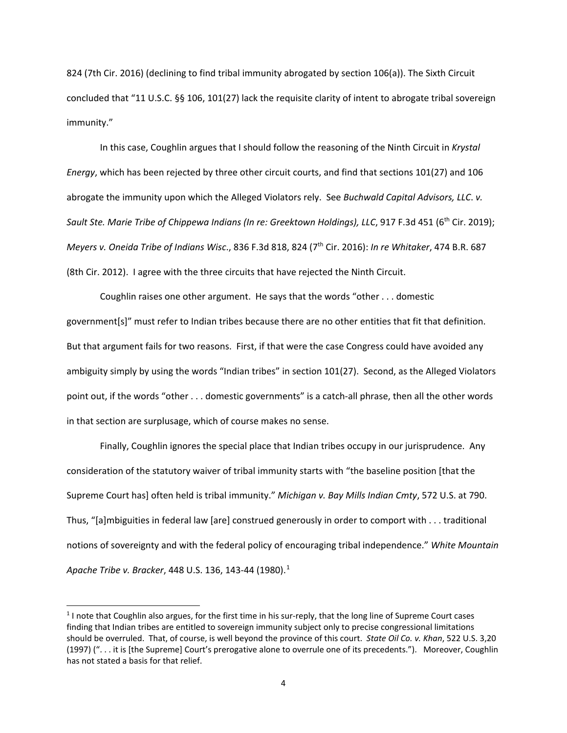824 (7th Cir. 2016) (declining to find tribal immunity abrogated by section 106(a)). The Sixth Circuit concluded that "11 U.S.C. §§ 106, 101(27) lack the requisite clarity of intent to abrogate tribal sovereign immunity."

In this case, Coughlin argues that I should follow the reasoning of the Ninth Circuit in *Krystal Energy*, which has been rejected by three other circuit courts, and find that sections 101(27) and 106 abrogate the immunity upon which the Alleged Violators rely. See *Buchwald Capital Advisors, LLC*. *v. Sault Ste. Marie Tribe of Chippewa Indians (In re: Greektown Holdings), LLC*, 917 F.3d 451 (6th Cir. 2019); *Meyers v. Oneida Tribe of Indians Wisc*., 836 F.3d 818, 824 (7th Cir. 2016): *In re Whitaker*, 474 B.R. 687 (8th Cir. 2012). I agree with the three circuits that have rejected the Ninth Circuit.

Coughlin raises one other argument. He says that the words "other . . . domestic government[s]" must refer to Indian tribes because there are no other entities that fit that definition. But that argument fails for two reasons. First, if that were the case Congress could have avoided any ambiguity simply by using the words "Indian tribes" in section 101(27). Second, as the Alleged Violators point out, if the words "other . . . domestic governments" is a catch-all phrase, then all the other words in that section are surplusage, which of course makes no sense.

Finally, Coughlin ignores the special place that Indian tribes occupy in our jurisprudence. Any consideration of the statutory waiver of tribal immunity starts with "the baseline position [that the Supreme Court has] often held is tribal immunity." *Michigan v. Bay Mills Indian Cmty*, 572 U.S. at 790. Thus, "[a]mbiguities in federal law [are] construed generously in order to comport with . . . traditional notions of sovereignty and with the federal policy of encouraging tribal independence." *White Mountain Apache Tribe v. Bracker*, 448 U.S. 136, 143-44 (1980).1

 $<sup>1</sup>$  I note that Coughlin also argues, for the first time in his sur-reply, that the long line of Supreme Court cases</sup> finding that Indian tribes are entitled to sovereign immunity subject only to precise congressional limitations should be overruled. That, of course, is well beyond the province of this court. *State Oil Co. v. Khan*, 522 U.S. 3,20 (1997) (". . . it is [the Supreme] Court's prerogative alone to overrule one of its precedents."). Moreover, Coughlin has not stated a basis for that relief.